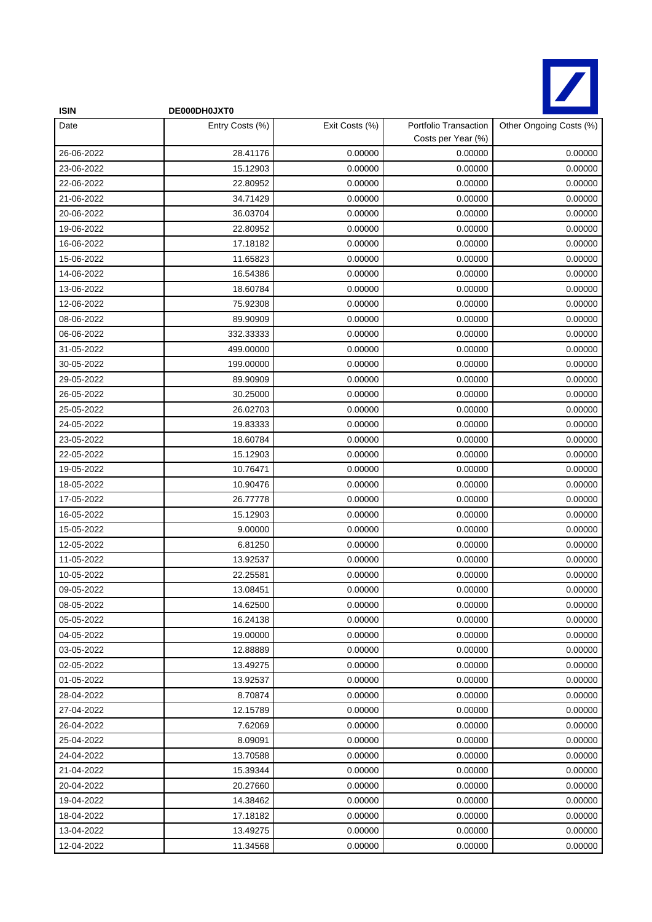

| <b>ISIN</b> | DE000DH0JXT0    |                |                                             |                         |
|-------------|-----------------|----------------|---------------------------------------------|-------------------------|
| Date        | Entry Costs (%) | Exit Costs (%) | Portfolio Transaction<br>Costs per Year (%) | Other Ongoing Costs (%) |
| 26-06-2022  | 28.41176        | 0.00000        | 0.00000                                     | 0.00000                 |
| 23-06-2022  | 15.12903        | 0.00000        | 0.00000                                     | 0.00000                 |
| 22-06-2022  | 22.80952        | 0.00000        | 0.00000                                     | 0.00000                 |
| 21-06-2022  | 34.71429        | 0.00000        | 0.00000                                     | 0.00000                 |
| 20-06-2022  | 36.03704        | 0.00000        | 0.00000                                     | 0.00000                 |
| 19-06-2022  | 22.80952        | 0.00000        | 0.00000                                     | 0.00000                 |
| 16-06-2022  | 17.18182        | 0.00000        | 0.00000                                     | 0.00000                 |
| 15-06-2022  | 11.65823        | 0.00000        | 0.00000                                     | 0.00000                 |
| 14-06-2022  | 16.54386        | 0.00000        | 0.00000                                     | 0.00000                 |
| 13-06-2022  | 18.60784        | 0.00000        | 0.00000                                     | 0.00000                 |
| 12-06-2022  | 75.92308        | 0.00000        | 0.00000                                     | 0.00000                 |
| 08-06-2022  | 89.90909        | 0.00000        | 0.00000                                     | 0.00000                 |
| 06-06-2022  | 332.33333       | 0.00000        | 0.00000                                     | 0.00000                 |
| 31-05-2022  | 499.00000       | 0.00000        | 0.00000                                     | 0.00000                 |
| 30-05-2022  | 199.00000       | 0.00000        | 0.00000                                     | 0.00000                 |
| 29-05-2022  | 89.90909        | 0.00000        | 0.00000                                     | 0.00000                 |
| 26-05-2022  | 30.25000        | 0.00000        | 0.00000                                     | 0.00000                 |
| 25-05-2022  | 26.02703        | 0.00000        | 0.00000                                     | 0.00000                 |
| 24-05-2022  | 19.83333        | 0.00000        | 0.00000                                     | 0.00000                 |
| 23-05-2022  | 18.60784        | 0.00000        | 0.00000                                     | 0.00000                 |
| 22-05-2022  | 15.12903        | 0.00000        | 0.00000                                     | 0.00000                 |
| 19-05-2022  | 10.76471        | 0.00000        | 0.00000                                     | 0.00000                 |
| 18-05-2022  | 10.90476        | 0.00000        | 0.00000                                     | 0.00000                 |
| 17-05-2022  | 26.77778        | 0.00000        | 0.00000                                     | 0.00000                 |
| 16-05-2022  | 15.12903        | 0.00000        | 0.00000                                     | 0.00000                 |
| 15-05-2022  | 9.00000         | 0.00000        | 0.00000                                     | 0.00000                 |
| 12-05-2022  | 6.81250         | 0.00000        | 0.00000                                     | 0.00000                 |
| 11-05-2022  | 13.92537        | 0.00000        | 0.00000                                     | 0.00000                 |
| 10-05-2022  | 22.25581        | 0.00000        | 0.00000                                     | 0.00000                 |
| 09-05-2022  | 13.08451        | 0.00000        | 0.00000                                     | 0.00000                 |
| 08-05-2022  | 14.62500        | 0.00000        | 0.00000                                     | 0.00000                 |
| 05-05-2022  | 16.24138        | 0.00000        | 0.00000                                     | 0.00000                 |
| 04-05-2022  | 19.00000        | 0.00000        | 0.00000                                     | 0.00000                 |
| 03-05-2022  | 12.88889        | 0.00000        | 0.00000                                     | 0.00000                 |
| 02-05-2022  | 13.49275        | 0.00000        | 0.00000                                     | 0.00000                 |
| 01-05-2022  | 13.92537        | 0.00000        | 0.00000                                     | 0.00000                 |
| 28-04-2022  | 8.70874         | 0.00000        | 0.00000                                     | 0.00000                 |
| 27-04-2022  | 12.15789        | 0.00000        | 0.00000                                     | 0.00000                 |
| 26-04-2022  | 7.62069         | 0.00000        | 0.00000                                     | 0.00000                 |
| 25-04-2022  | 8.09091         | 0.00000        | 0.00000                                     | 0.00000                 |
| 24-04-2022  | 13.70588        | 0.00000        | 0.00000                                     | 0.00000                 |
| 21-04-2022  | 15.39344        | 0.00000        | 0.00000                                     | 0.00000                 |
| 20-04-2022  | 20.27660        | 0.00000        | 0.00000                                     | 0.00000                 |
| 19-04-2022  | 14.38462        | 0.00000        | 0.00000                                     | 0.00000                 |
| 18-04-2022  | 17.18182        | 0.00000        | 0.00000                                     | 0.00000                 |
| 13-04-2022  | 13.49275        | 0.00000        | 0.00000                                     | 0.00000                 |
| 12-04-2022  | 11.34568        | 0.00000        | 0.00000                                     | 0.00000                 |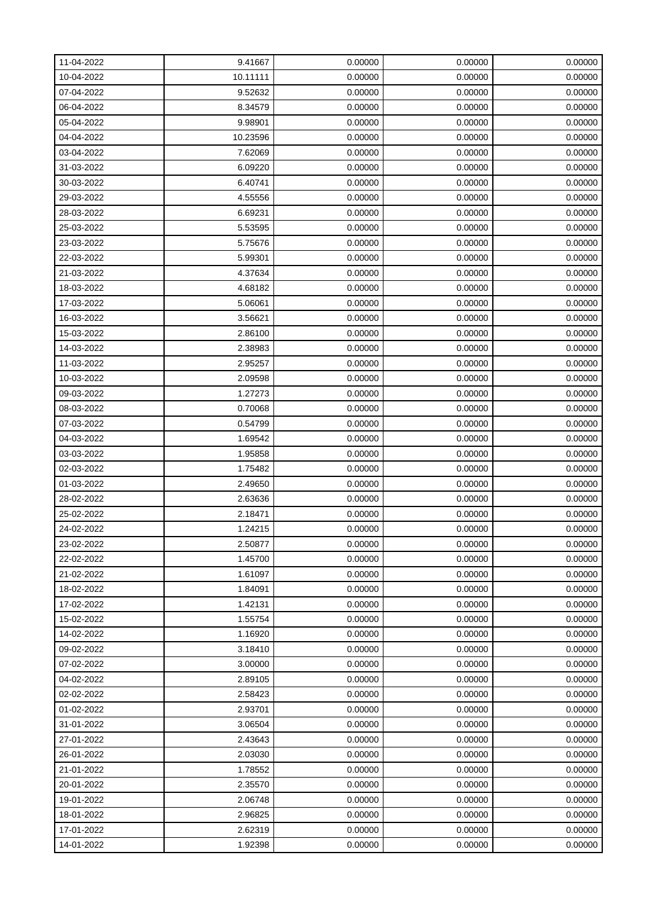| 11-04-2022 | 9.41667  | 0.00000 | 0.00000 | 0.00000 |
|------------|----------|---------|---------|---------|
| 10-04-2022 | 10.11111 | 0.00000 | 0.00000 | 0.00000 |
| 07-04-2022 | 9.52632  | 0.00000 | 0.00000 | 0.00000 |
| 06-04-2022 | 8.34579  | 0.00000 | 0.00000 | 0.00000 |
| 05-04-2022 | 9.98901  | 0.00000 | 0.00000 | 0.00000 |
| 04-04-2022 | 10.23596 | 0.00000 | 0.00000 | 0.00000 |
| 03-04-2022 | 7.62069  | 0.00000 | 0.00000 | 0.00000 |
| 31-03-2022 | 6.09220  | 0.00000 | 0.00000 | 0.00000 |
| 30-03-2022 | 6.40741  | 0.00000 | 0.00000 | 0.00000 |
| 29-03-2022 | 4.55556  | 0.00000 | 0.00000 | 0.00000 |
| 28-03-2022 | 6.69231  | 0.00000 | 0.00000 | 0.00000 |
| 25-03-2022 | 5.53595  | 0.00000 | 0.00000 | 0.00000 |
| 23-03-2022 | 5.75676  | 0.00000 | 0.00000 | 0.00000 |
| 22-03-2022 | 5.99301  | 0.00000 | 0.00000 | 0.00000 |
| 21-03-2022 | 4.37634  | 0.00000 | 0.00000 | 0.00000 |
| 18-03-2022 | 4.68182  | 0.00000 | 0.00000 | 0.00000 |
| 17-03-2022 | 5.06061  | 0.00000 | 0.00000 | 0.00000 |
| 16-03-2022 | 3.56621  | 0.00000 | 0.00000 | 0.00000 |
| 15-03-2022 | 2.86100  | 0.00000 | 0.00000 | 0.00000 |
| 14-03-2022 | 2.38983  | 0.00000 | 0.00000 | 0.00000 |
| 11-03-2022 | 2.95257  | 0.00000 | 0.00000 | 0.00000 |
| 10-03-2022 | 2.09598  | 0.00000 | 0.00000 | 0.00000 |
| 09-03-2022 | 1.27273  | 0.00000 | 0.00000 | 0.00000 |
| 08-03-2022 | 0.70068  | 0.00000 | 0.00000 | 0.00000 |
| 07-03-2022 | 0.54799  | 0.00000 | 0.00000 | 0.00000 |
| 04-03-2022 | 1.69542  | 0.00000 | 0.00000 | 0.00000 |
| 03-03-2022 | 1.95858  | 0.00000 | 0.00000 | 0.00000 |
| 02-03-2022 | 1.75482  | 0.00000 | 0.00000 | 0.00000 |
| 01-03-2022 | 2.49650  | 0.00000 | 0.00000 | 0.00000 |
| 28-02-2022 | 2.63636  | 0.00000 | 0.00000 | 0.00000 |
| 25-02-2022 | 2.18471  | 0.00000 | 0.00000 | 0.00000 |
| 24-02-2022 | 1.24215  | 0.00000 | 0.00000 | 0.00000 |
| 23-02-2022 | 2.50877  | 0.00000 | 0.00000 | 0.00000 |
| 22-02-2022 | 1.45700  | 0.00000 | 0.00000 | 0.00000 |
| 21-02-2022 | 1.61097  | 0.00000 | 0.00000 | 0.00000 |
| 18-02-2022 | 1.84091  | 0.00000 | 0.00000 | 0.00000 |
| 17-02-2022 | 1.42131  | 0.00000 | 0.00000 | 0.00000 |
| 15-02-2022 | 1.55754  | 0.00000 | 0.00000 | 0.00000 |
| 14-02-2022 | 1.16920  | 0.00000 | 0.00000 | 0.00000 |
| 09-02-2022 | 3.18410  | 0.00000 | 0.00000 | 0.00000 |
| 07-02-2022 | 3.00000  | 0.00000 | 0.00000 | 0.00000 |
| 04-02-2022 | 2.89105  | 0.00000 | 0.00000 | 0.00000 |
| 02-02-2022 | 2.58423  | 0.00000 | 0.00000 | 0.00000 |
| 01-02-2022 | 2.93701  | 0.00000 | 0.00000 | 0.00000 |
| 31-01-2022 | 3.06504  | 0.00000 | 0.00000 | 0.00000 |
| 27-01-2022 | 2.43643  | 0.00000 | 0.00000 | 0.00000 |
| 26-01-2022 | 2.03030  | 0.00000 | 0.00000 | 0.00000 |
| 21-01-2022 | 1.78552  | 0.00000 | 0.00000 | 0.00000 |
| 20-01-2022 | 2.35570  | 0.00000 | 0.00000 | 0.00000 |
| 19-01-2022 | 2.06748  | 0.00000 | 0.00000 | 0.00000 |
| 18-01-2022 | 2.96825  | 0.00000 | 0.00000 | 0.00000 |
| 17-01-2022 | 2.62319  | 0.00000 | 0.00000 | 0.00000 |
| 14-01-2022 | 1.92398  | 0.00000 | 0.00000 | 0.00000 |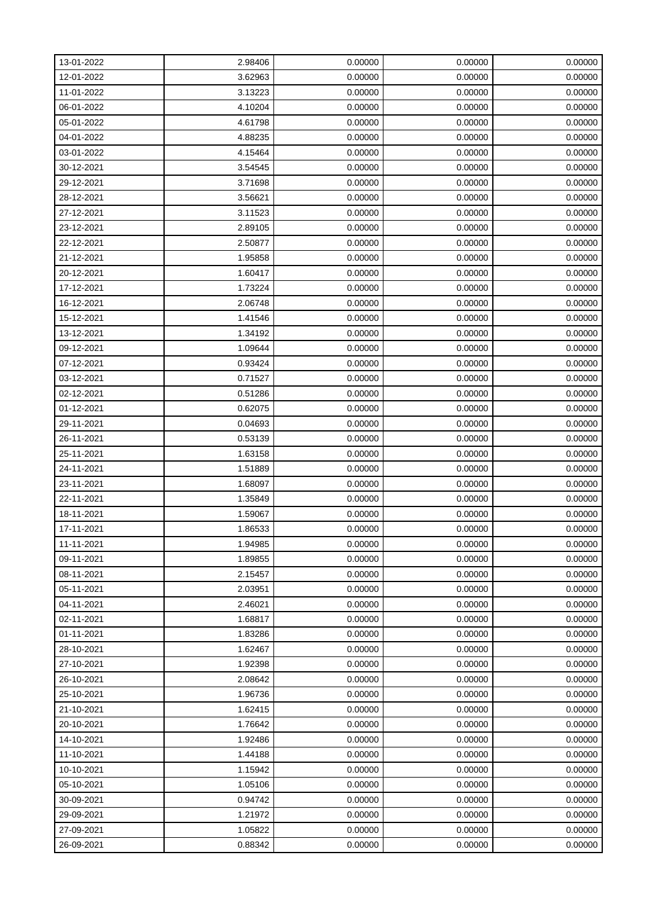| 13-01-2022 | 2.98406 | 0.00000 | 0.00000 | 0.00000 |
|------------|---------|---------|---------|---------|
| 12-01-2022 | 3.62963 | 0.00000 | 0.00000 | 0.00000 |
| 11-01-2022 | 3.13223 | 0.00000 | 0.00000 | 0.00000 |
| 06-01-2022 | 4.10204 | 0.00000 | 0.00000 | 0.00000 |
| 05-01-2022 | 4.61798 | 0.00000 | 0.00000 | 0.00000 |
| 04-01-2022 | 4.88235 | 0.00000 | 0.00000 | 0.00000 |
| 03-01-2022 | 4.15464 | 0.00000 | 0.00000 | 0.00000 |
| 30-12-2021 | 3.54545 | 0.00000 | 0.00000 | 0.00000 |
| 29-12-2021 | 3.71698 | 0.00000 | 0.00000 | 0.00000 |
| 28-12-2021 | 3.56621 | 0.00000 | 0.00000 | 0.00000 |
| 27-12-2021 | 3.11523 | 0.00000 | 0.00000 | 0.00000 |
| 23-12-2021 | 2.89105 | 0.00000 | 0.00000 | 0.00000 |
| 22-12-2021 | 2.50877 | 0.00000 | 0.00000 | 0.00000 |
| 21-12-2021 | 1.95858 | 0.00000 | 0.00000 | 0.00000 |
| 20-12-2021 | 1.60417 | 0.00000 | 0.00000 | 0.00000 |
| 17-12-2021 | 1.73224 | 0.00000 | 0.00000 | 0.00000 |
| 16-12-2021 | 2.06748 | 0.00000 | 0.00000 | 0.00000 |
| 15-12-2021 | 1.41546 | 0.00000 | 0.00000 | 0.00000 |
| 13-12-2021 | 1.34192 | 0.00000 | 0.00000 | 0.00000 |
| 09-12-2021 | 1.09644 | 0.00000 | 0.00000 | 0.00000 |
| 07-12-2021 | 0.93424 | 0.00000 | 0.00000 | 0.00000 |
| 03-12-2021 | 0.71527 | 0.00000 | 0.00000 | 0.00000 |
| 02-12-2021 | 0.51286 | 0.00000 | 0.00000 | 0.00000 |
| 01-12-2021 | 0.62075 | 0.00000 | 0.00000 | 0.00000 |
| 29-11-2021 | 0.04693 | 0.00000 | 0.00000 | 0.00000 |
| 26-11-2021 | 0.53139 | 0.00000 | 0.00000 | 0.00000 |
| 25-11-2021 | 1.63158 | 0.00000 | 0.00000 | 0.00000 |
| 24-11-2021 | 1.51889 | 0.00000 | 0.00000 | 0.00000 |
| 23-11-2021 | 1.68097 | 0.00000 | 0.00000 | 0.00000 |
| 22-11-2021 | 1.35849 | 0.00000 | 0.00000 | 0.00000 |
| 18-11-2021 | 1.59067 | 0.00000 | 0.00000 | 0.00000 |
| 17-11-2021 | 1.86533 | 0.00000 | 0.00000 | 0.00000 |
| 11-11-2021 | 1.94985 | 0.00000 | 0.00000 | 0.00000 |
| 09-11-2021 | 1.89855 | 0.00000 | 0.00000 | 0.00000 |
| 08-11-2021 | 2.15457 | 0.00000 | 0.00000 | 0.00000 |
| 05-11-2021 | 2.03951 | 0.00000 | 0.00000 | 0.00000 |
| 04-11-2021 | 2.46021 | 0.00000 | 0.00000 | 0.00000 |
| 02-11-2021 | 1.68817 | 0.00000 | 0.00000 | 0.00000 |
| 01-11-2021 | 1.83286 | 0.00000 | 0.00000 | 0.00000 |
| 28-10-2021 | 1.62467 | 0.00000 | 0.00000 | 0.00000 |
| 27-10-2021 | 1.92398 | 0.00000 | 0.00000 | 0.00000 |
| 26-10-2021 | 2.08642 | 0.00000 | 0.00000 | 0.00000 |
| 25-10-2021 | 1.96736 | 0.00000 | 0.00000 | 0.00000 |
| 21-10-2021 | 1.62415 | 0.00000 | 0.00000 | 0.00000 |
| 20-10-2021 | 1.76642 | 0.00000 | 0.00000 | 0.00000 |
| 14-10-2021 | 1.92486 | 0.00000 | 0.00000 | 0.00000 |
| 11-10-2021 | 1.44188 | 0.00000 | 0.00000 | 0.00000 |
| 10-10-2021 | 1.15942 | 0.00000 | 0.00000 | 0.00000 |
| 05-10-2021 | 1.05106 | 0.00000 | 0.00000 | 0.00000 |
| 30-09-2021 | 0.94742 | 0.00000 | 0.00000 | 0.00000 |
| 29-09-2021 | 1.21972 | 0.00000 | 0.00000 | 0.00000 |
| 27-09-2021 | 1.05822 | 0.00000 | 0.00000 | 0.00000 |
| 26-09-2021 | 0.88342 | 0.00000 | 0.00000 | 0.00000 |